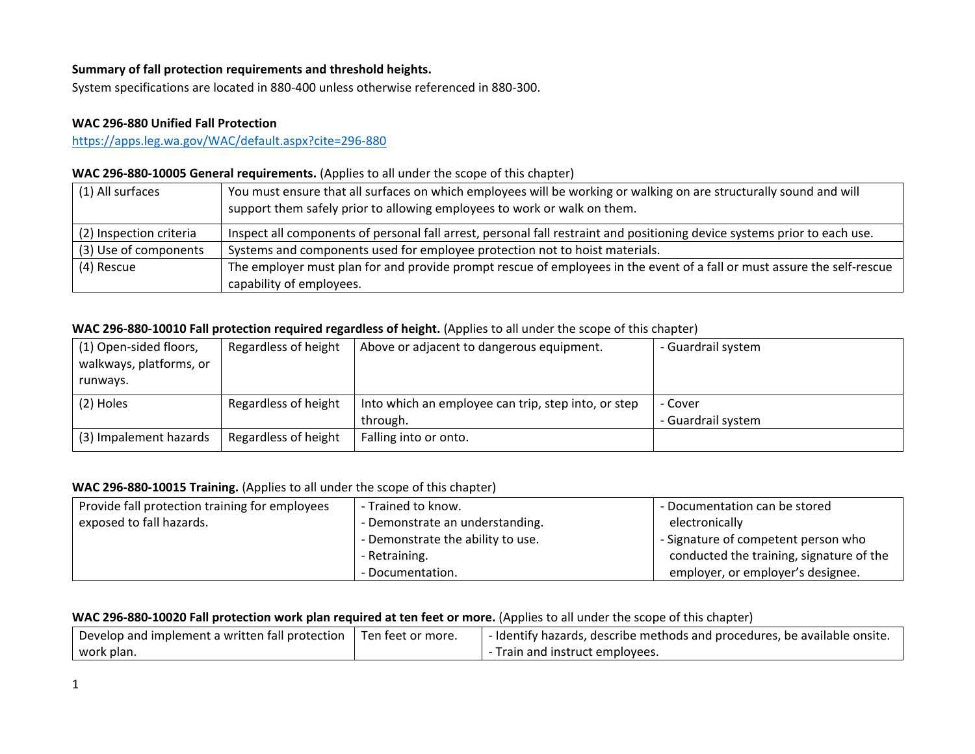## **Summary of fall protection requirements and threshold heights.**

System specifications are located in 880-400 unless otherwise referenced in 880-300.

## **WAC 296-880 Unified Fall Protection**

<https://apps.leg.wa.gov/WAC/default.aspx?cite=296-880>

# **WAC 296-880-10005 General requirements.** (Applies to all under the scope of this chapter)

| (1) All surfaces        | You must ensure that all surfaces on which employees will be working or walking on are structurally sound and will<br>support them safely prior to allowing employees to work or walk on them. |
|-------------------------|------------------------------------------------------------------------------------------------------------------------------------------------------------------------------------------------|
| (2) Inspection criteria | Inspect all components of personal fall arrest, personal fall restraint and positioning device systems prior to each use.                                                                      |
| (3) Use of components   | Systems and components used for employee protection not to hoist materials.                                                                                                                    |
| (4) Rescue              | The employer must plan for and provide prompt rescue of employees in the event of a fall or must assure the self-rescue                                                                        |
|                         | capability of employees.                                                                                                                                                                       |

## **WAC 296-880-10010 Fall protection required regardless of height.** (Applies to all under the scope of this chapter)

| (1) Open-sided floors,  | Regardless of height | Above or adjacent to dangerous equipment.           | - Guardrail system |
|-------------------------|----------------------|-----------------------------------------------------|--------------------|
| walkways, platforms, or |                      |                                                     |                    |
| runways.                |                      |                                                     |                    |
| (2) Holes               | Regardless of height | Into which an employee can trip, step into, or step | - Cover            |
|                         |                      | through.                                            | - Guardrail system |
| (3) Impalement hazards  | Regardless of height | Falling into or onto.                               |                    |

## **WAC 296-880-10015 Training.** (Applies to all under the scope of this chapter)

| Provide fall protection training for employees | - Trained to know.                | - Documentation can be stored            |
|------------------------------------------------|-----------------------------------|------------------------------------------|
| exposed to fall hazards.                       | - Demonstrate an understanding.   | electronically                           |
|                                                | - Demonstrate the ability to use. | - Signature of competent person who      |
|                                                | - Retraining.                     | conducted the training, signature of the |
|                                                | - Documentation.                  | employer, or employer's designee.        |

#### **WAC 296-880-10020 Fall protection work plan required at ten feet or more.** (Applies to all under the scope of this chapter)

| $\perp$ Develop and implement a written fall protection $\perp$ Ten feet or more. | - Identify hazards, describe methods and procedures, be available onsite. |
|-----------------------------------------------------------------------------------|---------------------------------------------------------------------------|
| work plan.                                                                        | Train and instruct employees.                                             |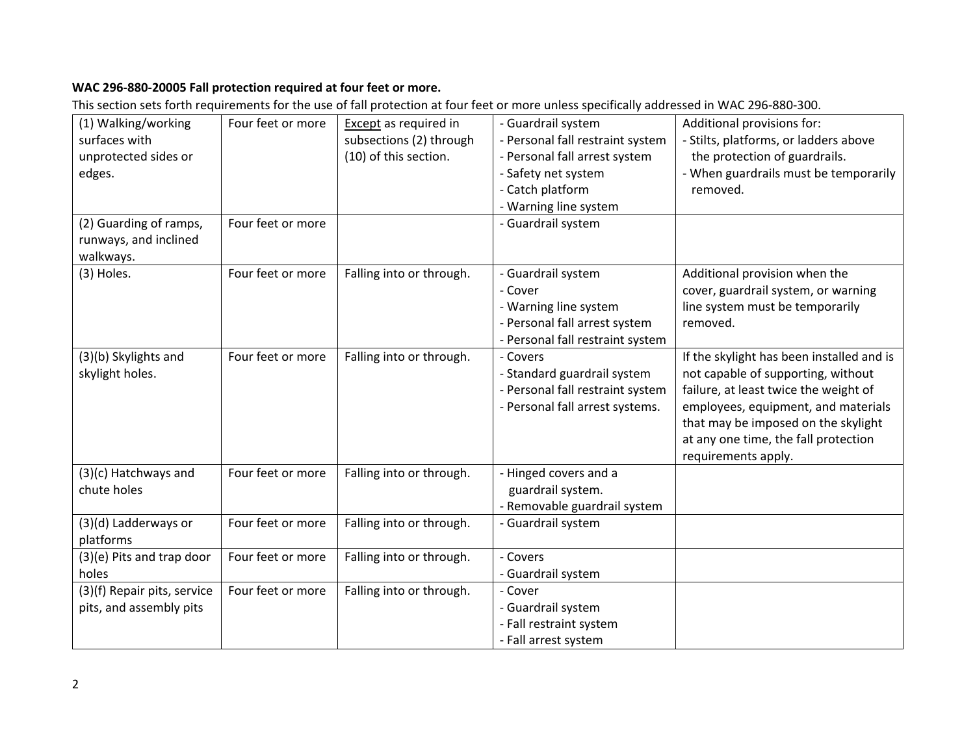# **WAC 296-880-20005 Fall protection required at four feet or more.**

This section sets forth requirements for the use of fall protection at four feet or more unless specifically addressed in WAC 296-880-300.

| (1) Walking/working         | Four feet or more | Except as required in    | - Guardrail system               | Additional provisions for:                |
|-----------------------------|-------------------|--------------------------|----------------------------------|-------------------------------------------|
| surfaces with               |                   | subsections (2) through  | - Personal fall restraint system | - Stilts, platforms, or ladders above     |
| unprotected sides or        |                   | (10) of this section.    | - Personal fall arrest system    | the protection of guardrails.             |
| edges.                      |                   |                          | - Safety net system              | - When guardrails must be temporarily     |
|                             |                   |                          | - Catch platform                 | removed.                                  |
|                             |                   |                          | - Warning line system            |                                           |
| (2) Guarding of ramps,      | Four feet or more |                          | - Guardrail system               |                                           |
| runways, and inclined       |                   |                          |                                  |                                           |
| walkways.                   |                   |                          |                                  |                                           |
| (3) Holes.                  | Four feet or more | Falling into or through. | - Guardrail system               | Additional provision when the             |
|                             |                   |                          | - Cover                          | cover, guardrail system, or warning       |
|                             |                   |                          | - Warning line system            | line system must be temporarily           |
|                             |                   |                          | - Personal fall arrest system    | removed.                                  |
|                             |                   |                          | - Personal fall restraint system |                                           |
| (3)(b) Skylights and        | Four feet or more | Falling into or through. | - Covers                         | If the skylight has been installed and is |
| skylight holes.             |                   |                          | - Standard guardrail system      | not capable of supporting, without        |
|                             |                   |                          | - Personal fall restraint system | failure, at least twice the weight of     |
|                             |                   |                          | - Personal fall arrest systems.  | employees, equipment, and materials       |
|                             |                   |                          |                                  | that may be imposed on the skylight       |
|                             |                   |                          |                                  | at any one time, the fall protection      |
|                             |                   |                          |                                  | requirements apply.                       |
| (3)(c) Hatchways and        | Four feet or more | Falling into or through. | - Hinged covers and a            |                                           |
| chute holes                 |                   |                          | guardrail system.                |                                           |
|                             |                   |                          | - Removable guardrail system     |                                           |
| (3)(d) Ladderways or        | Four feet or more | Falling into or through. | - Guardrail system               |                                           |
| platforms                   |                   |                          |                                  |                                           |
| (3)(e) Pits and trap door   | Four feet or more | Falling into or through. | - Covers                         |                                           |
| holes                       |                   |                          | - Guardrail system               |                                           |
| (3)(f) Repair pits, service | Four feet or more | Falling into or through. | - Cover                          |                                           |
| pits, and assembly pits     |                   |                          | - Guardrail system               |                                           |
|                             |                   |                          | - Fall restraint system          |                                           |
|                             |                   |                          | - Fall arrest system             |                                           |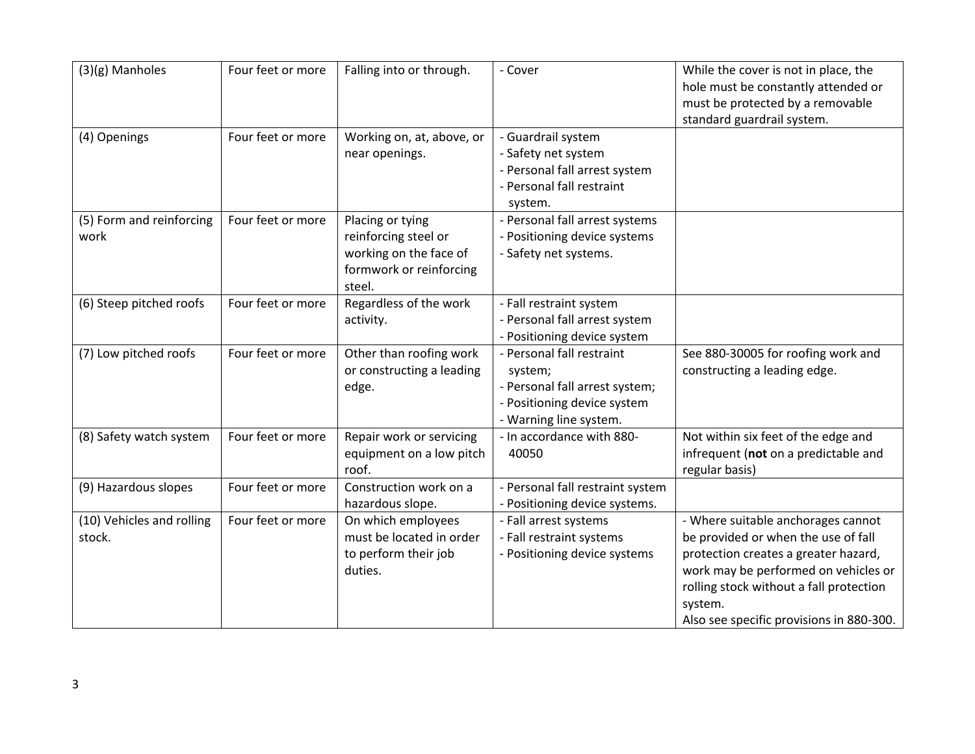| (3)(g) Manholes                     | Four feet or more | Falling into or through.                                                                                | - Cover                                                                                                                         | While the cover is not in place, the<br>hole must be constantly attended or<br>must be protected by a removable<br>standard guardrail system.                                                                                                               |
|-------------------------------------|-------------------|---------------------------------------------------------------------------------------------------------|---------------------------------------------------------------------------------------------------------------------------------|-------------------------------------------------------------------------------------------------------------------------------------------------------------------------------------------------------------------------------------------------------------|
| (4) Openings                        | Four feet or more | Working on, at, above, or<br>near openings.                                                             | - Guardrail system<br>- Safety net system<br>- Personal fall arrest system<br>- Personal fall restraint<br>system.              |                                                                                                                                                                                                                                                             |
| (5) Form and reinforcing<br>work    | Four feet or more | Placing or tying<br>reinforcing steel or<br>working on the face of<br>formwork or reinforcing<br>steel. | - Personal fall arrest systems<br>- Positioning device systems<br>- Safety net systems.                                         |                                                                                                                                                                                                                                                             |
| (6) Steep pitched roofs             | Four feet or more | Regardless of the work<br>activity.                                                                     | - Fall restraint system<br>- Personal fall arrest system<br>- Positioning device system                                         |                                                                                                                                                                                                                                                             |
| (7) Low pitched roofs               | Four feet or more | Other than roofing work<br>or constructing a leading<br>edge.                                           | - Personal fall restraint<br>system;<br>- Personal fall arrest system;<br>- Positioning device system<br>- Warning line system. | See 880-30005 for roofing work and<br>constructing a leading edge.                                                                                                                                                                                          |
| (8) Safety watch system             | Four feet or more | Repair work or servicing<br>equipment on a low pitch<br>roof.                                           | - In accordance with 880-<br>40050                                                                                              | Not within six feet of the edge and<br>infrequent (not on a predictable and<br>regular basis)                                                                                                                                                               |
| (9) Hazardous slopes                | Four feet or more | Construction work on a<br>hazardous slope.                                                              | - Personal fall restraint system<br>- Positioning device systems.                                                               |                                                                                                                                                                                                                                                             |
| (10) Vehicles and rolling<br>stock. | Four feet or more | On which employees<br>must be located in order<br>to perform their job<br>duties.                       | - Fall arrest systems<br>- Fall restraint systems<br>- Positioning device systems                                               | - Where suitable anchorages cannot<br>be provided or when the use of fall<br>protection creates a greater hazard,<br>work may be performed on vehicles or<br>rolling stock without a fall protection<br>system.<br>Also see specific provisions in 880-300. |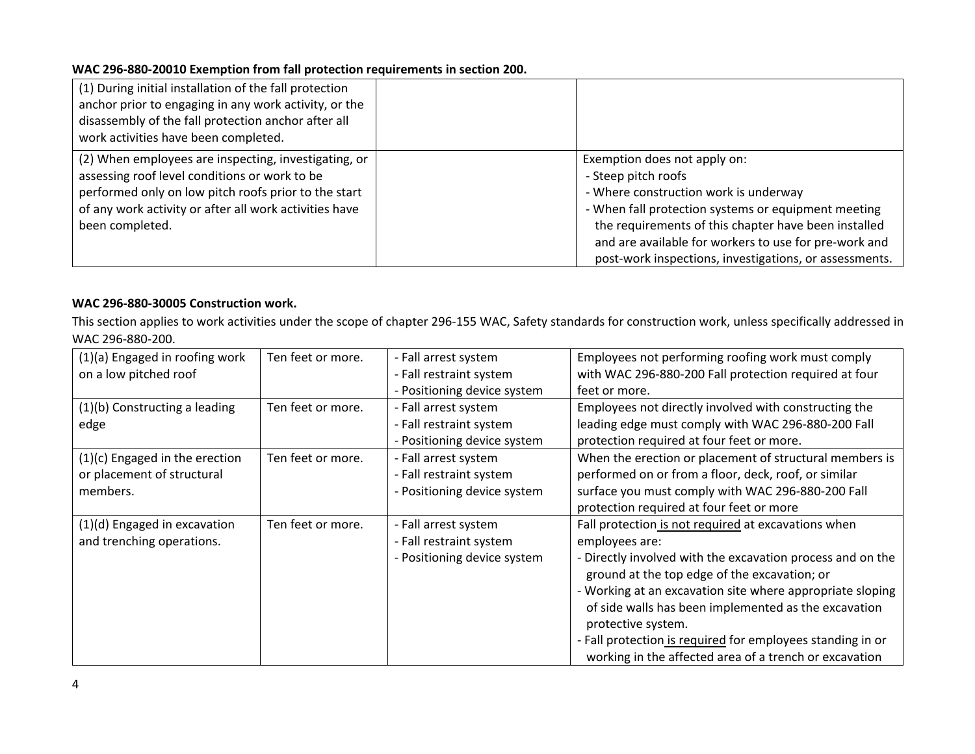## **WAC 296-880-20010 Exemption from fall protection requirements in section 200.**

| (1) During initial installation of the fall protection<br>anchor prior to engaging in any work activity, or the<br>disassembly of the fall protection anchor after all<br>work activities have been completed.                             |                                                                                                                                                                                                                                                                                                                                |
|--------------------------------------------------------------------------------------------------------------------------------------------------------------------------------------------------------------------------------------------|--------------------------------------------------------------------------------------------------------------------------------------------------------------------------------------------------------------------------------------------------------------------------------------------------------------------------------|
| (2) When employees are inspecting, investigating, or<br>assessing roof level conditions or work to be<br>performed only on low pitch roofs prior to the start<br>of any work activity or after all work activities have<br>been completed. | Exemption does not apply on:<br>- Steep pitch roofs<br>- Where construction work is underway<br>- When fall protection systems or equipment meeting<br>the requirements of this chapter have been installed<br>and are available for workers to use for pre-work and<br>post-work inspections, investigations, or assessments. |

# **WAC 296-880-30005 Construction work.**

This section applies to work activities under the scope of chapter 296-155 WAC, Safety standards for construction work, unless specifically addressed in WAC 296-880-200.

| (1)(a) Engaged in roofing work<br>on a low pitched roof                  | Ten feet or more. | - Fall arrest system<br>- Fall restraint system<br>- Positioning device system | Employees not performing roofing work must comply<br>with WAC 296-880-200 Fall protection required at four<br>feet or more.                                                                                                                                                                                                                                                                                                                            |
|--------------------------------------------------------------------------|-------------------|--------------------------------------------------------------------------------|--------------------------------------------------------------------------------------------------------------------------------------------------------------------------------------------------------------------------------------------------------------------------------------------------------------------------------------------------------------------------------------------------------------------------------------------------------|
| (1)(b) Constructing a leading<br>edge                                    | Ten feet or more. | - Fall arrest system<br>- Fall restraint system<br>- Positioning device system | Employees not directly involved with constructing the<br>leading edge must comply with WAC 296-880-200 Fall<br>protection required at four feet or more.                                                                                                                                                                                                                                                                                               |
| (1)(c) Engaged in the erection<br>or placement of structural<br>members. | Ten feet or more. | - Fall arrest system<br>- Fall restraint system<br>- Positioning device system | When the erection or placement of structural members is<br>performed on or from a floor, deck, roof, or similar<br>surface you must comply with WAC 296-880-200 Fall<br>protection required at four feet or more                                                                                                                                                                                                                                       |
| (1)(d) Engaged in excavation<br>and trenching operations.                | Ten feet or more. | - Fall arrest system<br>- Fall restraint system<br>- Positioning device system | Fall protection is not required at excavations when<br>employees are:<br>- Directly involved with the excavation process and on the<br>ground at the top edge of the excavation; or<br>- Working at an excavation site where appropriate sloping<br>of side walls has been implemented as the excavation<br>protective system.<br>- Fall protection is required for employees standing in or<br>working in the affected area of a trench or excavation |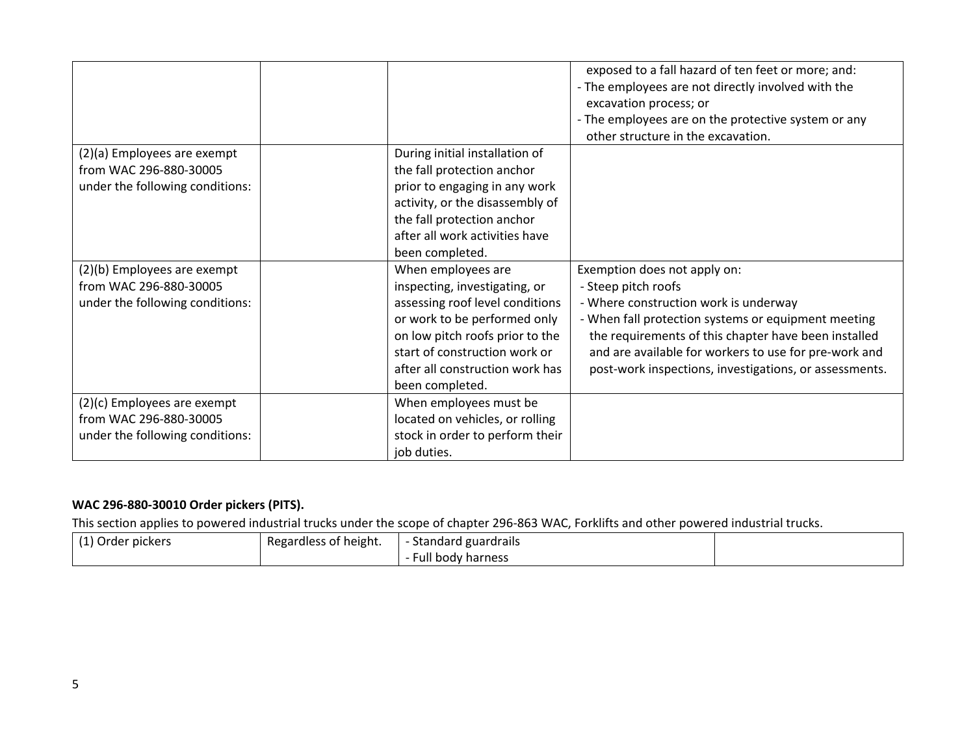|                                                                                          |                                                                                                                                                                                                                                                  | exposed to a fall hazard of ten feet or more; and:<br>- The employees are not directly involved with the<br>excavation process; or<br>- The employees are on the protective system or any<br>other structure in the excavation.                                                                                                |
|------------------------------------------------------------------------------------------|--------------------------------------------------------------------------------------------------------------------------------------------------------------------------------------------------------------------------------------------------|--------------------------------------------------------------------------------------------------------------------------------------------------------------------------------------------------------------------------------------------------------------------------------------------------------------------------------|
| (2)(a) Employees are exempt<br>from WAC 296-880-30005<br>under the following conditions: | During initial installation of<br>the fall protection anchor<br>prior to engaging in any work<br>activity, or the disassembly of<br>the fall protection anchor<br>after all work activities have<br>been completed.                              |                                                                                                                                                                                                                                                                                                                                |
| (2)(b) Employees are exempt<br>from WAC 296-880-30005<br>under the following conditions: | When employees are<br>inspecting, investigating, or<br>assessing roof level conditions<br>or work to be performed only<br>on low pitch roofs prior to the<br>start of construction work or<br>after all construction work has<br>been completed. | Exemption does not apply on:<br>- Steep pitch roofs<br>- Where construction work is underway<br>- When fall protection systems or equipment meeting<br>the requirements of this chapter have been installed<br>and are available for workers to use for pre-work and<br>post-work inspections, investigations, or assessments. |
| (2)(c) Employees are exempt<br>from WAC 296-880-30005<br>under the following conditions: | When employees must be<br>located on vehicles, or rolling<br>stock in order to perform their<br>job duties.                                                                                                                                      |                                                                                                                                                                                                                                                                                                                                |

# **WAC 296-880-30010 Order pickers (PITS).**

This section applies to powered industrial trucks under the scope of chapter 296-863 WAC, Forklifts and other powered industrial trucks.

| (1) Order pickers | Regardless of height. | <b>Standard guardrails</b> |  |
|-------------------|-----------------------|----------------------------|--|
|                   |                       | Full body harness          |  |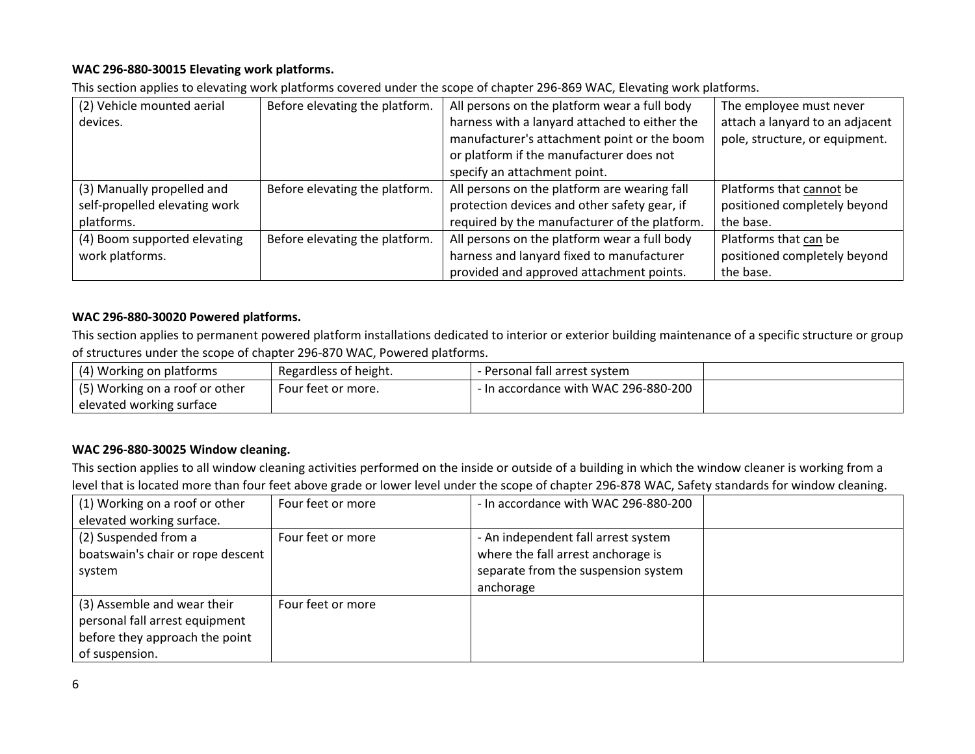## **WAC 296-880-30015 Elevating work platforms.**

This section applies to elevating work platforms covered under the scope of chapter 296-869 WAC, Elevating work platforms.

| (2) Vehicle mounted aerial    | Before elevating the platform. | All persons on the platform wear a full body  | The employee must never         |
|-------------------------------|--------------------------------|-----------------------------------------------|---------------------------------|
| devices.                      |                                | harness with a lanyard attached to either the | attach a lanyard to an adjacent |
|                               |                                | manufacturer's attachment point or the boom   | pole, structure, or equipment.  |
|                               |                                | or platform if the manufacturer does not      |                                 |
|                               |                                | specify an attachment point.                  |                                 |
| (3) Manually propelled and    | Before elevating the platform. | All persons on the platform are wearing fall  | Platforms that cannot be        |
| self-propelled elevating work |                                | protection devices and other safety gear, if  | positioned completely beyond    |
| platforms.                    |                                | required by the manufacturer of the platform. | the base.                       |
| (4) Boom supported elevating  | Before elevating the platform. | All persons on the platform wear a full body  | Platforms that can be           |
| work platforms.               |                                | harness and lanyard fixed to manufacturer     | positioned completely beyond    |
|                               |                                | provided and approved attachment points.      | the base.                       |

## **WAC 296-880-30020 Powered platforms.**

This section applies to permanent powered platform installations dedicated to interior or exterior building maintenance of a specific structure or group of structures under the scope of chapter 296-870 WAC, Powered platforms.

| (4) Working on platforms       | Regardless of height. | - Personal fall arrest system        |  |
|--------------------------------|-----------------------|--------------------------------------|--|
| (5) Working on a roof or other | Four feet or more.    | - In accordance with WAC 296-880-200 |  |
| elevated working surface       |                       |                                      |  |

## **WAC 296-880-30025 Window cleaning.**

This section applies to all window cleaning activities performed on the inside or outside of a building in which the window cleaner is working from a level that is located more than four feet above grade or lower level under the scope of chapter 296-878 WAC, Safety standards for window cleaning.

| (1) Working on a roof or other<br>elevated working surface.                                                       | Four feet or more | - In accordance with WAC 296-880-200                                                                                          |  |
|-------------------------------------------------------------------------------------------------------------------|-------------------|-------------------------------------------------------------------------------------------------------------------------------|--|
| (2) Suspended from a<br>boatswain's chair or rope descent<br>system                                               | Four feet or more | - An independent fall arrest system<br>where the fall arrest anchorage is<br>separate from the suspension system<br>anchorage |  |
| (3) Assemble and wear their<br>personal fall arrest equipment<br>before they approach the point<br>of suspension. | Four feet or more |                                                                                                                               |  |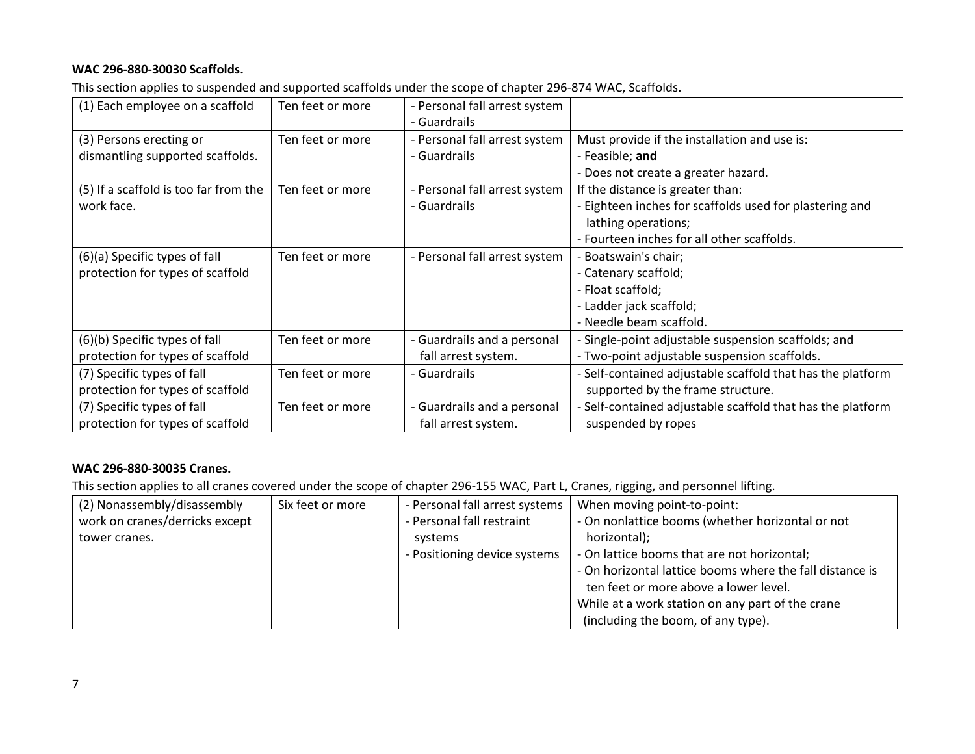## **WAC 296-880-30030 Scaffolds.**

This section applies to suspended and supported scaffolds under the scope of chapter 296-874 WAC, Scaffolds.

| (1) Each employee on a scaffold       | Ten feet or more | - Personal fall arrest system |                                                            |
|---------------------------------------|------------------|-------------------------------|------------------------------------------------------------|
|                                       |                  | - Guardrails                  |                                                            |
| (3) Persons erecting or               | Ten feet or more | - Personal fall arrest system | Must provide if the installation and use is:               |
| dismantling supported scaffolds.      |                  | - Guardrails                  | - Feasible; and                                            |
|                                       |                  |                               | - Does not create a greater hazard.                        |
| (5) If a scaffold is too far from the | Ten feet or more | - Personal fall arrest system | If the distance is greater than:                           |
| work face.                            |                  | - Guardrails                  | - Eighteen inches for scaffolds used for plastering and    |
|                                       |                  |                               | lathing operations;                                        |
|                                       |                  |                               | - Fourteen inches for all other scaffolds.                 |
| (6)(a) Specific types of fall         | Ten feet or more | - Personal fall arrest system | - Boatswain's chair;                                       |
| protection for types of scaffold      |                  |                               | - Catenary scaffold;                                       |
|                                       |                  |                               | - Float scaffold;                                          |
|                                       |                  |                               | - Ladder jack scaffold;                                    |
|                                       |                  |                               | - Needle beam scaffold.                                    |
| (6)(b) Specific types of fall         | Ten feet or more | - Guardrails and a personal   | - Single-point adjustable suspension scaffolds; and        |
| protection for types of scaffold      |                  | fall arrest system.           | - Two-point adjustable suspension scaffolds.               |
| (7) Specific types of fall            | Ten feet or more | - Guardrails                  | - Self-contained adjustable scaffold that has the platform |
| protection for types of scaffold      |                  |                               | supported by the frame structure.                          |
| (7) Specific types of fall            | Ten feet or more | - Guardrails and a personal   | - Self-contained adjustable scaffold that has the platform |
| protection for types of scaffold      |                  | fall arrest system.           | suspended by ropes                                         |

## **WAC 296-880-30035 Cranes.**

This section applies to all cranes covered under the scope of chapter 296-155 WAC, Part L, Cranes, rigging, and personnel lifting.

| (2) Nonassembly/disassembly    | Six feet or more | - Personal fall arrest systems | When moving point-to-point:                              |
|--------------------------------|------------------|--------------------------------|----------------------------------------------------------|
| work on cranes/derricks except |                  | - Personal fall restraint      | - On nonlattice booms (whether horizontal or not         |
| tower cranes.                  |                  | systems                        | horizontal);                                             |
|                                |                  | - Positioning device systems   | - On lattice booms that are not horizontal;              |
|                                |                  |                                | - On horizontal lattice booms where the fall distance is |
|                                |                  |                                | ten feet or more above a lower level.                    |
|                                |                  |                                | While at a work station on any part of the crane         |
|                                |                  |                                | (including the boom, of any type).                       |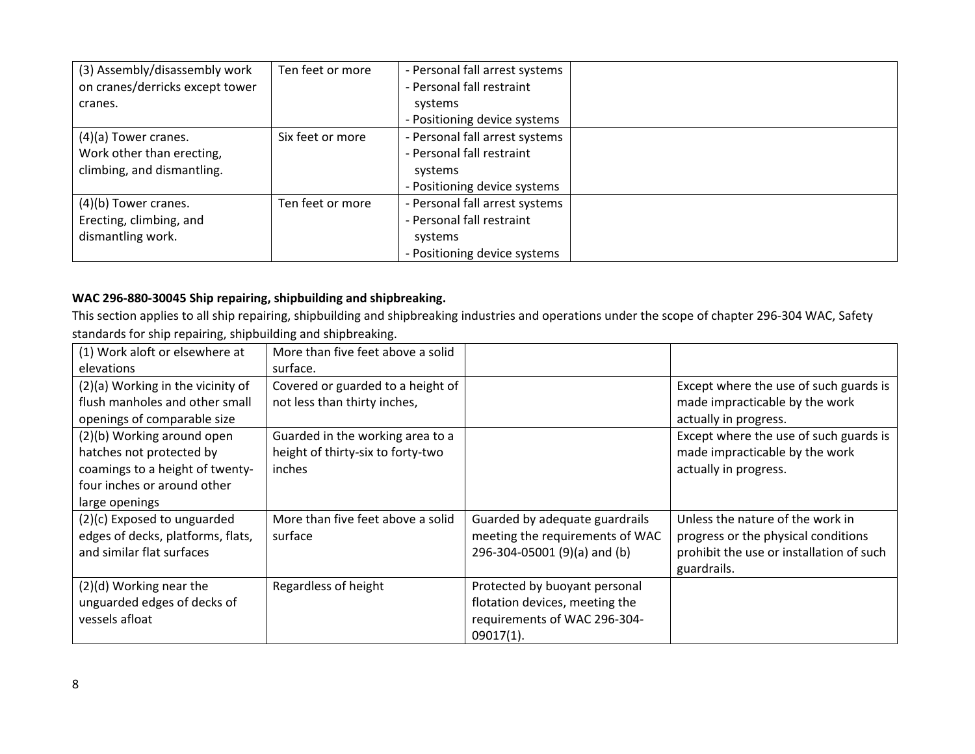| (3) Assembly/disassembly work   | Ten feet or more | - Personal fall arrest systems |  |
|---------------------------------|------------------|--------------------------------|--|
| on cranes/derricks except tower |                  | - Personal fall restraint      |  |
| cranes.                         |                  | systems                        |  |
|                                 |                  | - Positioning device systems   |  |
| $(4)(a)$ Tower cranes.          | Six feet or more | - Personal fall arrest systems |  |
| Work other than erecting,       |                  | - Personal fall restraint      |  |
| climbing, and dismantling.      |                  | systems                        |  |
|                                 |                  | - Positioning device systems   |  |
| $(4)(b)$ Tower cranes.          | Ten feet or more | - Personal fall arrest systems |  |
| Erecting, climbing, and         |                  | - Personal fall restraint      |  |
| dismantling work.               |                  | systems                        |  |
|                                 |                  | - Positioning device systems   |  |

# **WAC 296-880-30045 Ship repairing, shipbuilding and shipbreaking.**

This section applies to all ship repairing, shipbuilding and shipbreaking industries and operations under the scope of chapter 296-304 WAC, Safety standards for ship repairing, shipbuilding and shipbreaking.

| (1) Work aloft or elsewhere at    | More than five feet above a solid |                                 |                                          |
|-----------------------------------|-----------------------------------|---------------------------------|------------------------------------------|
| elevations                        | surface.                          |                                 |                                          |
| (2)(a) Working in the vicinity of | Covered or guarded to a height of |                                 | Except where the use of such guards is   |
| flush manholes and other small    | not less than thirty inches,      |                                 | made impracticable by the work           |
| openings of comparable size       |                                   |                                 | actually in progress.                    |
| (2)(b) Working around open        | Guarded in the working area to a  |                                 | Except where the use of such guards is   |
| hatches not protected by          | height of thirty-six to forty-two |                                 | made impracticable by the work           |
| coamings to a height of twenty-   | inches                            |                                 | actually in progress.                    |
| four inches or around other       |                                   |                                 |                                          |
| large openings                    |                                   |                                 |                                          |
| (2)(c) Exposed to unguarded       | More than five feet above a solid | Guarded by adequate guardrails  | Unless the nature of the work in         |
| edges of decks, platforms, flats, | surface                           | meeting the requirements of WAC | progress or the physical conditions      |
| and similar flat surfaces         |                                   | 296-304-05001 (9)(a) and (b)    | prohibit the use or installation of such |
|                                   |                                   |                                 | guardrails.                              |
| (2)(d) Working near the           | Regardless of height              | Protected by buoyant personal   |                                          |
| unguarded edges of decks of       |                                   | flotation devices, meeting the  |                                          |
| vessels afloat                    |                                   | requirements of WAC 296-304-    |                                          |
|                                   |                                   | $09017(1)$ .                    |                                          |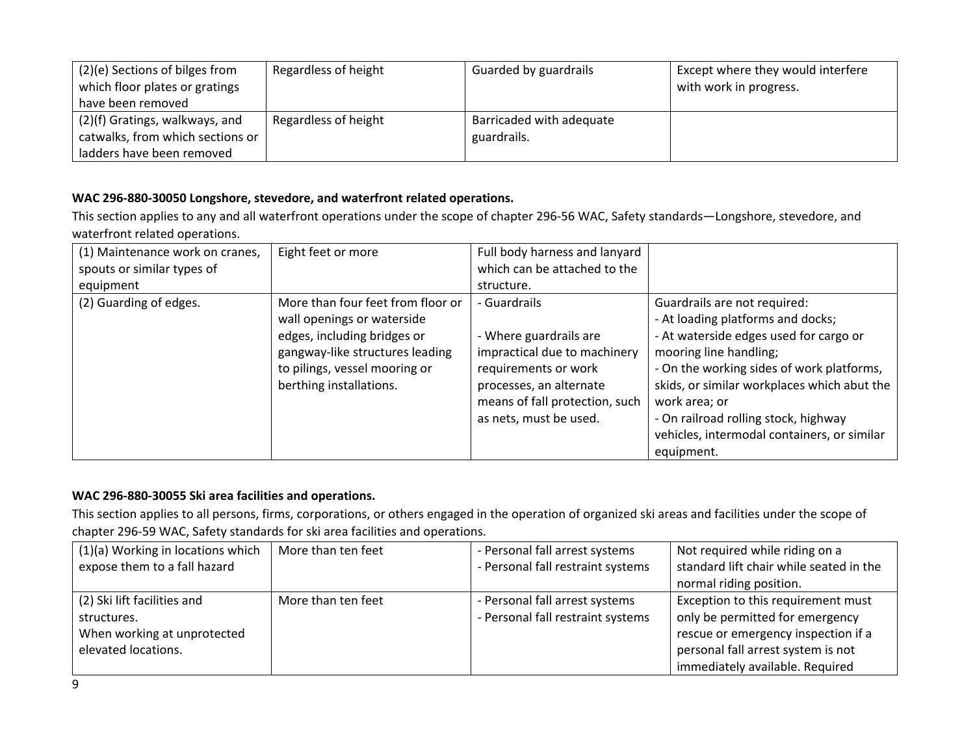| (2)(e) Sections of bilges from<br>which floor plates or gratings<br>have been removed | Regardless of height | Guarded by guardrails                   | Except where they would interfere<br>with work in progress. |
|---------------------------------------------------------------------------------------|----------------------|-----------------------------------------|-------------------------------------------------------------|
| (2)(f) Gratings, walkways, and<br>catwalks, from which sections or                    | Regardless of height | Barricaded with adequate<br>guardrails. |                                                             |
| ladders have been removed                                                             |                      |                                         |                                                             |

## **WAC 296-880-30050 Longshore, stevedore, and waterfront related operations.**

This section applies to any and all waterfront operations under the scope of chapter 296-56 WAC, Safety standards—Longshore, stevedore, and waterfront related operations.

| (1) Maintenance work on cranes, | Eight feet or more                                                                                                                                                                            | Full body harness and lanyard                                                                                                                                                         |                                                                                                                                                                                                                                                                                                                                           |
|---------------------------------|-----------------------------------------------------------------------------------------------------------------------------------------------------------------------------------------------|---------------------------------------------------------------------------------------------------------------------------------------------------------------------------------------|-------------------------------------------------------------------------------------------------------------------------------------------------------------------------------------------------------------------------------------------------------------------------------------------------------------------------------------------|
| spouts or similar types of      |                                                                                                                                                                                               | which can be attached to the                                                                                                                                                          |                                                                                                                                                                                                                                                                                                                                           |
| equipment                       |                                                                                                                                                                                               | structure.                                                                                                                                                                            |                                                                                                                                                                                                                                                                                                                                           |
| (2) Guarding of edges.          | More than four feet from floor or<br>wall openings or waterside<br>edges, including bridges or<br>gangway-like structures leading<br>to pilings, vessel mooring or<br>berthing installations. | - Guardrails<br>- Where guardrails are<br>impractical due to machinery<br>requirements or work<br>processes, an alternate<br>means of fall protection, such<br>as nets, must be used. | Guardrails are not required:<br>- At loading platforms and docks;<br>- At waterside edges used for cargo or<br>mooring line handling;<br>- On the working sides of work platforms,<br>skids, or similar workplaces which abut the<br>work area; or<br>- On railroad rolling stock, highway<br>vehicles, intermodal containers, or similar |
|                                 |                                                                                                                                                                                               |                                                                                                                                                                                       | equipment.                                                                                                                                                                                                                                                                                                                                |

# **WAC 296-880-30055 Ski area facilities and operations.**

This section applies to all persons, firms, corporations, or others engaged in the operation of organized ski areas and facilities under the scope of chapter 296-59 WAC, Safety standards for ski area facilities and operations.

| (1)(a) Working in locations which | More than ten feet | - Personal fall arrest systems    | Not required while riding on a          |
|-----------------------------------|--------------------|-----------------------------------|-----------------------------------------|
| expose them to a fall hazard      |                    | - Personal fall restraint systems | standard lift chair while seated in the |
|                                   |                    |                                   | normal riding position.                 |
| (2) Ski lift facilities and       | More than ten feet | - Personal fall arrest systems    | Exception to this requirement must      |
| structures.                       |                    | - Personal fall restraint systems | only be permitted for emergency         |
| When working at unprotected       |                    |                                   | rescue or emergency inspection if a     |
| elevated locations.               |                    |                                   | personal fall arrest system is not      |
|                                   |                    |                                   | immediately available. Required         |